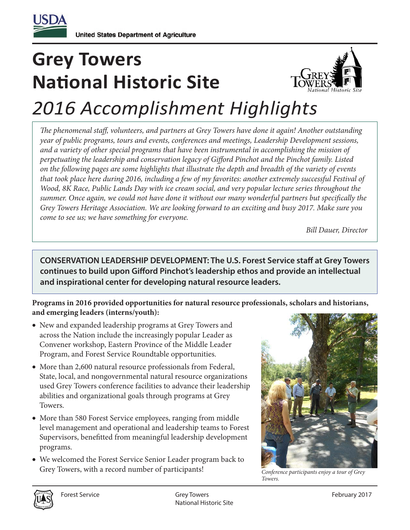

## **Grey Towers National Historic Site**



## *2016 Accomplishment Highlights*

The phenomenal staff, volunteers, and partners at Grey Towers have done it again! Another outstanding *year of public programs, tours and events, conferences and meetings, Leadership Development sessions, and a variety of other special programs that have been instrumental in accomplishing the mission of*  perpetuating the leadership and conservation legacy of Gifford Pinchot and the Pinchot family. Listed *on the following pages are some highlights that illustrate the depth and breadth of the variety of events that took place here during 2016, including a few of my favorites: another extremely successful Festival of Wood, 8K Race, Public Lands Day with ice cream social, and very popular lecture series throughout the*  summer. Once again, we could not have done it without our many wonderful partners but specifically the *Grey Towers Heritage Association. We are looking forward to an exciting and busy 2017. Make sure you come to see us; we have something for everyone.*

*Bill Dauer, Director*

**CONSERVATION LEADERSHIP DEVELOPMENT: The U.S. Forest Service staff at Grey Towers** continues to build upon Gifford Pinchot's leadership ethos and provide an intellectual **and inspirational center for developing natural resource leaders.**

## **Programs in 2016 provided opportunities for natural resource professionals, scholars and historians, and emerging leaders (interns/youth):**

- New and expanded leadership programs at Grey Towers and across the Nation include the increasingly popular Leader as Convener workshop, Eastern Province of the Middle Leader Program, and Forest Service Roundtable opportunities.
- More than 2,600 natural resource professionals from Federal, State, local, and nongovernmental natural resource organizations used Grey Towers conference facilities to advance their leadership abilities and organizational goals through programs at Grey Towers.
- More than 580 Forest Service employees, ranging from middle level management and operational and leadership teams to Forest Supervisors, benefitted from meaningful leadership development programs.
- We welcomed the Forest Service Senior Leader program back to Grey Towers, with a record number of participants!



*Conference participants enjoy a tour of Grey Towers.*

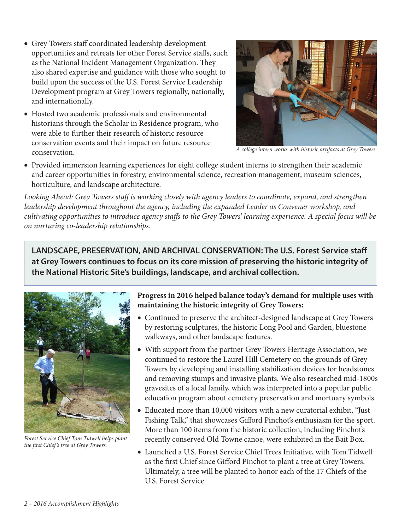- Grey Towers staff coordinated leadership development opportunities and retreats for other Forest Service staffs, such as the National Incident Management Organization. They also shared expertise and guidance with those who sought to build upon the success of the U.S. Forest Service Leadership Development program at Grey Towers regionally, nationally, and internationally.
- Hosted two academic professionals and environmental historians through the Scholar in Residence program, who were able to further their research of historic resource conservation events and their impact on future resource conservation.



*A college intern works with historic artifacts at Grey Towers.*

• Provided immersion learning experiences for eight college student interns to strengthen their academic and career opportunities in forestry, environmental science, recreation management, museum sciences, horticulture, and landscape architecture.

Looking Ahead: Grey Towers staff is working closely with agency leaders to coordinate, expand, and strengthen *leadership development throughout the agency, including the expanded Leader as Convener workshop, and*  cultivating opportunities to introduce agency staffs to the Grey Towers' learning experience. A special focus will be *on nurturing co-leadership relationships.*

LANDSCAPE, PRESERVATION, AND ARCHIVAL CONSERVATION: The U.S. Forest Service staff **at Grey Towers continues to focus on its core mission of preserving the historic integrity of the National Historic Site's buildings, landscape, and archival collection.**



*Forest Service Chief Tom Tidwell helps plant the first Chief's tree at Grey Towers.* 

**Progress in 2016 helped balance today's demand for multiple uses with maintaining the historic integrity of Grey Towers:**

- Continued to preserve the architect-designed landscape at Grey Towers by restoring sculptures, the historic Long Pool and Garden, bluestone walkways, and other landscape features.
- With support from the partner Grey Towers Heritage Association, we continued to restore the Laurel Hill Cemetery on the grounds of Grey Towers by developing and installing stabilization devices for headstones and removing stumps and invasive plants. We also researched mid-1800s gravesites of a local family, which was interpreted into a popular public education program about cemetery preservation and mortuary symbols.
- Educated more than 10,000 visitors with a new curatorial exhibit, "Just Fishing Talk," that showcases Gifford Pinchot's enthusiasm for the sport. More than 100 items from the historic collection, including Pinchot's recently conserved Old Towne canoe, were exhibited in the Bait Box.
- Launched a U.S. Forest Service Chief Trees Initiative, with Tom Tidwell as the first Chief since Gifford Pinchot to plant a tree at Grey Towers. Ultimately, a tree will be planted to honor each of the 17 Chiefs of the U.S. Forest Service.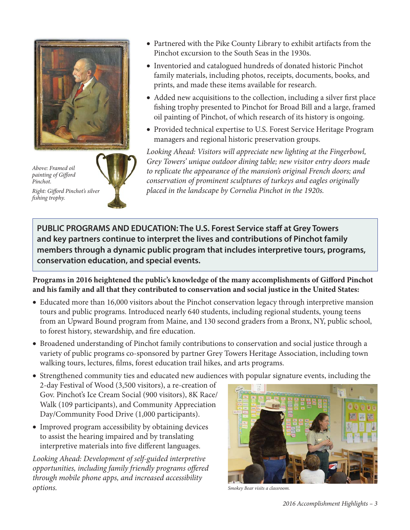

*Above: Framed oil*   $p$ *ainting of Gifford Pinchot.*

*Right: Giord Pinchot's silver shing trophy.*

- Partnered with the Pike County Library to exhibit artifacts from the Pinchot excursion to the South Seas in the 1930s.
- Inventoried and catalogued hundreds of donated historic Pinchot family materials, including photos, receipts, documents, books, and prints, and made these items available for research.
- Added new acquisitions to the collection, including a silver first place fishing trophy presented to Pinchot for Broad Bill and a large, framed oil painting of Pinchot, of which research of its history is ongoing.
- Provided technical expertise to U.S. Forest Service Heritage Program managers and regional historic preservation groups.

*Looking Ahead: Visitors will appreciate new lighting at the Fingerbowl, Grey Towers' unique outdoor dining table; new visitor entry doors made to replicate the appearance of the mansion's original French doors; and conservation of prominent sculptures of turkeys and eagles originally placed in the landscape by Cornelia Pinchot in the 1920s.*

**PUBLIC PROGRAMS AND EDUCATION: The U.S. Forest Service staff at Grey Towers and key partners continue to interpret the lives and contributions of Pinchot family members through a dynamic public program that includes interpretive tours, programs, conservation education, and special events.**

Programs in 2016 heightened the public's knowledge of the many accomplishments of Gifford Pinchot **and his family and all that they contributed to conservation and social justice in the United States:**

- Educated more than 16,000 visitors about the Pinchot conservation legacy through interpretive mansion tours and public programs. Introduced nearly 640 students, including regional students, young teens from an Upward Bound program from Maine, and 130 second graders from a Bronx, NY, public school, to forest history, stewardship, and fire education.
- Broadened understanding of Pinchot family contributions to conservation and social justice through a variety of public programs co-sponsored by partner Grey Towers Heritage Association, including town walking tours, lectures, films, forest education trail hikes, and arts programs.
- Strengthened community ties and educated new audiences with popular signature events, including the 2-day Festival of Wood (3,500 visitors), a re-creation of Gov. Pinchot's Ice Cream Social (900 visitors), 8K Race/ Walk (109 participants), and Community Appreciation Day/Community Food Drive (1,000 participants).
- Improved program accessibility by obtaining devices to assist the hearing impaired and by translating interpretive materials into five different languages.

*Looking Ahead: Development of self-guided interpretive opportunities, including family friendly programs offered through mobile phone apps, and increased accessibility options. Smokey Bear visits a classroom.*